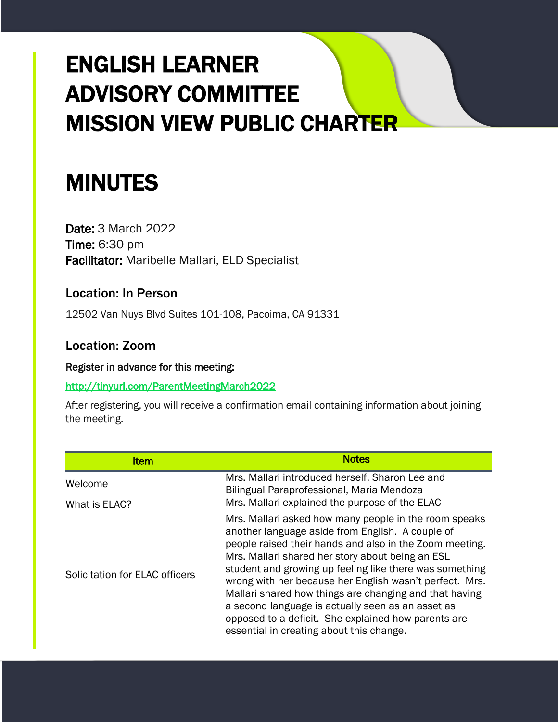# ENGLISH LEARNER ADVISORY COMMITTEE MISSION VIEW PUBLIC CHARTER

## MINUTES

Date: 3 March 2022 Time: 6:30 pm Facilitator: Maribelle Mallari, ELD Specialist

## Location: In Person

12502 Van Nuys Blvd Suites 101-108, Pacoima, CA 91331

### Location: Zoom

#### Register in advance for this meeting:

#### <http://tinyurl.com/ParentMeetingMarch2022>

After registering, you will receive a confirmation email containing information about joining the meeting.

| <b>Item</b>                    | <b>Notes</b>                                                                                                                                                                                                                                                                                                                                                                                                                                                                                                                                                     |
|--------------------------------|------------------------------------------------------------------------------------------------------------------------------------------------------------------------------------------------------------------------------------------------------------------------------------------------------------------------------------------------------------------------------------------------------------------------------------------------------------------------------------------------------------------------------------------------------------------|
| Welcome                        | Mrs. Mallari introduced herself, Sharon Lee and<br>Bilingual Paraprofessional, Maria Mendoza                                                                                                                                                                                                                                                                                                                                                                                                                                                                     |
| What is ELAC?                  | Mrs. Mallari explained the purpose of the ELAC                                                                                                                                                                                                                                                                                                                                                                                                                                                                                                                   |
| Solicitation for ELAC officers | Mrs. Mallari asked how many people in the room speaks<br>another language aside from English. A couple of<br>people raised their hands and also in the Zoom meeting.<br>Mrs. Mallari shared her story about being an ESL<br>student and growing up feeling like there was something<br>wrong with her because her English wasn't perfect. Mrs.<br>Mallari shared how things are changing and that having<br>a second language is actually seen as an asset as<br>opposed to a deficit. She explained how parents are<br>essential in creating about this change. |